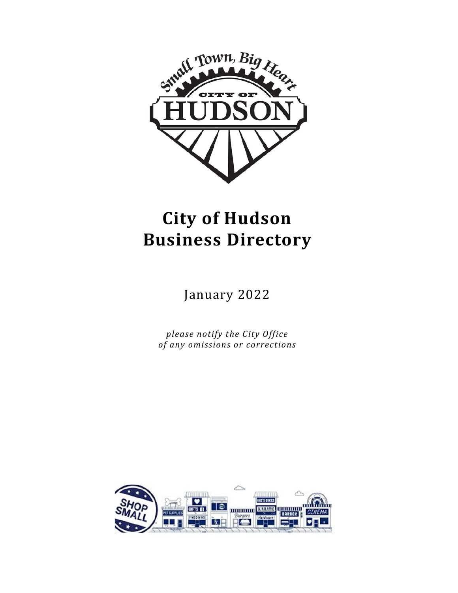

# **City of Hudson Business Directory**

January 2022

*please notify the City Office of any omissions or corrections*

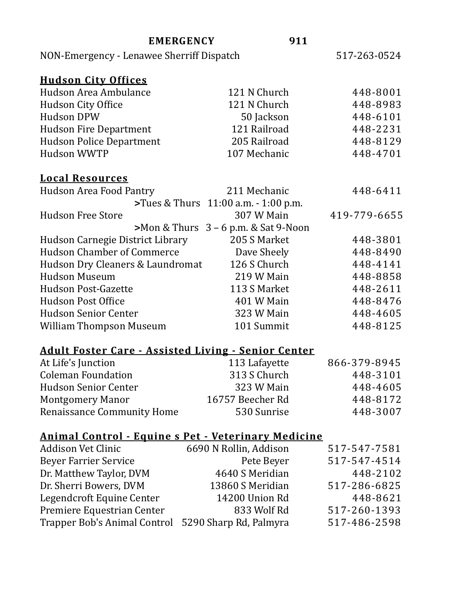| <b>EMERGENCY</b>                                           | 911                                       |              |
|------------------------------------------------------------|-------------------------------------------|--------------|
| NON-Emergency - Lenawee Sherriff Dispatch                  |                                           | 517-263-0524 |
|                                                            |                                           |              |
| <b>Hudson City Offices</b><br>Hudson Area Ambulance        | 121 N Church                              |              |
|                                                            |                                           | 448-8001     |
| <b>Hudson City Office</b>                                  | 121 N Church                              | 448-8983     |
| <b>Hudson DPW</b>                                          | 50 Jackson                                | 448-6101     |
| <b>Hudson Fire Department</b>                              | 121 Railroad                              | 448-2231     |
| <b>Hudson Police Department</b>                            | 205 Railroad                              | 448-8129     |
| <b>Hudson WWTP</b>                                         | 107 Mechanic                              | 448-4701     |
|                                                            |                                           |              |
| <b>Local Resources</b>                                     |                                           |              |
| <b>Hudson Area Food Pantry</b>                             | 211 Mechanic                              | 448-6411     |
|                                                            | >Tues & Thurs 11:00 a.m. - 1:00 p.m.      |              |
| <b>Hudson Free Store</b>                                   | 307 W Main                                | 419-779-6655 |
|                                                            | $>$ Mon & Thurs $3 - 6$ p.m. & Sat 9-Noon |              |
| Hudson Carnegie District Library                           | 205 S Market                              | 448-3801     |
| <b>Hudson Chamber of Commerce</b>                          | Dave Sheely                               | 448-8490     |
| Hudson Dry Cleaners & Laundromat                           | 126 S Church                              | 448-4141     |
| <b>Hudson Museum</b>                                       | 219 W Main                                | 448-8858     |
| <b>Hudson Post-Gazette</b>                                 | 113 S Market                              | 448-2611     |
| <b>Hudson Post Office</b>                                  | 401 W Main                                | 448-8476     |
| <b>Hudson Senior Center</b>                                | 323 W Main                                | 448-4605     |
| <b>William Thompson Museum</b>                             | 101 Summit                                | 448-8125     |
|                                                            |                                           |              |
| <b>Adult Foster Care - Assisted Living - Senior Center</b> |                                           |              |
| At Life's Junction                                         | 113 Lafayette                             | 866-379-8945 |

| At Life's Junction                | 113 Lafayette    | 866-379-8945 |
|-----------------------------------|------------------|--------------|
| <b>Coleman Foundation</b>         | 313 S Church     | 448-3101     |
| <b>Hudson Senior Center</b>       | 323 W Main       | 448-4605     |
| <b>Montgomery Manor</b>           | 16757 Beecher Rd | 448-8172     |
| <b>Renaissance Community Home</b> | 530 Sunrise      | 448-3007     |

## **Animal Control - Equine s Pet - Veterinary Medicine**

| <b>Addison Vet Clinic</b>                           | 6690 N Rollin, Addison | 517-547-7581 |
|-----------------------------------------------------|------------------------|--------------|
| <b>Beyer Farrier Service</b>                        | Pete Beyer             | 517-547-4514 |
| Dr. Matthew Taylor, DVM                             | 4640 S Meridian        | 448-2102     |
| Dr. Sherri Bowers, DVM                              | 13860 S Meridian       | 517-286-6825 |
| Legendcroft Equine Center                           | 14200 Union Rd         | 448-8621     |
| Premiere Equestrian Center                          | 833 Wolf Rd            | 517-260-1393 |
| Trapper Bob's Animal Control 5290 Sharp Rd, Palmyra |                        | 517-486-2598 |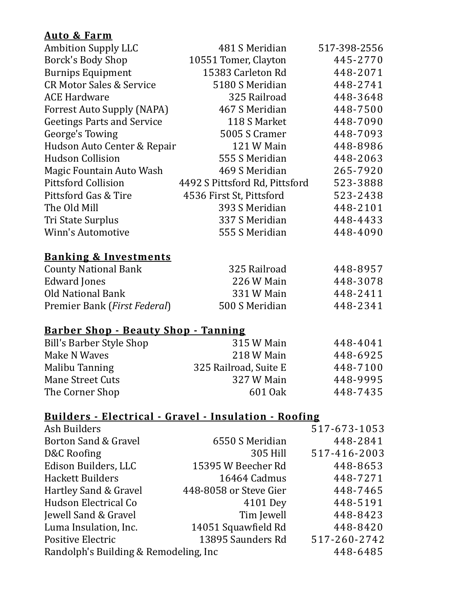#### **Auto & Farm**

| <b>Ambition Supply LLC</b>          | 481 S Meridian                 | 517-398-2556 |
|-------------------------------------|--------------------------------|--------------|
| Borck's Body Shop                   | 10551 Tomer, Clayton           | 445-2770     |
| <b>Burnips Equipment</b>            | 15383 Carleton Rd              | 448-2071     |
| <b>CR Motor Sales &amp; Service</b> | 5180 S Meridian                | 448-2741     |
| <b>ACE Hardware</b>                 | 325 Railroad                   | 448-3648     |
| <b>Forrest Auto Supply (NAPA)</b>   | 467 S Meridian                 | 448-7500     |
| <b>Geetings Parts and Service</b>   | 118 S Market                   | 448-7090     |
| George's Towing                     | 5005 S Cramer                  | 448-7093     |
| Hudson Auto Center & Repair         | 121 W Main                     | 448-8986     |
| <b>Hudson Collision</b>             | 555 S Meridian                 | 448-2063     |
| Magic Fountain Auto Wash            | 469 S Meridian                 | 265-7920     |
| <b>Pittsford Collision</b>          | 4492 S Pittsford Rd, Pittsford | 523-3888     |
| Pittsford Gas & Tire                | 4536 First St, Pittsford       | 523-2438     |
| The Old Mill                        | 393 S Meridian                 | 448-2101     |
| Tri State Surplus                   | 337 S Meridian                 | 448-4433     |
| <b>Winn's Automotive</b>            | 555 S Meridian                 | 448-4090     |
|                                     |                                |              |
| <b>Banking &amp; Investments</b>    |                                |              |
| <b>County National Bank</b>         | 325 Railroad                   | 448-8957     |
| <b>Edward Jones</b>                 | 226 W Main                     | 448-3078     |
| <b>Old National Bank</b>            | 331 W Main                     | 448-2411     |
| Premier Bank (First Federal)        | 500 S Meridian                 | 448-2341     |
|                                     |                                |              |

## **Barber Shop - Beauty Shop - Tanning**

| Bill's Barber Style Shop | 315 W Main            | 448-4041 |
|--------------------------|-----------------------|----------|
| Make N Waves             | 218 W Main            | 448-6925 |
| Malibu Tanning           | 325 Railroad, Suite E | 448-7100 |
| Mane Street Cuts         | 327 W Main            | 448-9995 |
| The Corner Shop          | 601 Oak               | 448-7435 |

### **Builders - Electrical - Gravel - Insulation - Roofing**

| Ash Builders                           |                        | 517-673-1053 |
|----------------------------------------|------------------------|--------------|
| Borton Sand & Gravel                   | 6550 S Meridian        | 448-2841     |
| D&C Roofing                            | 305 Hill               | 517-416-2003 |
| Edison Builders, LLC                   | 15395 W Beecher Rd     | 448-8653     |
| <b>Hackett Builders</b>                | 16464 Cadmus           | 448-7271     |
| Hartley Sand & Gravel                  | 448-8058 or Steve Gier | 448-7465     |
| Hudson Electrical Co                   | 4101 Dey               | 448-5191     |
| Jewell Sand & Gravel                   | Tim Jewell             | 448-8423     |
| Luma Insulation, Inc.                  | 14051 Squawfield Rd    | 448-8420     |
| Positive Electric                      | 13895 Saunders Rd      | 517-260-2742 |
| Randolph's Building & Remodeling, Inc. |                        | 448-6485     |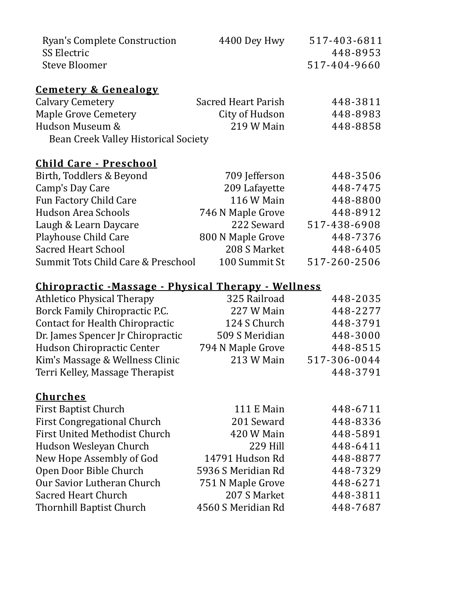| <b>Ryan's Complete Construction</b><br><b>SS Electric</b> | 4400 Dey Hwy               | 517-403-6811<br>448-8953 |
|-----------------------------------------------------------|----------------------------|--------------------------|
| <b>Steve Bloomer</b>                                      |                            | 517-404-9660             |
| <b>Cemetery &amp; Genealogy</b>                           |                            |                          |
| <b>Calvary Cemetery</b>                                   | <b>Sacred Heart Parish</b> | 448-3811                 |
| <b>Maple Grove Cemetery</b>                               | City of Hudson             | 448-8983                 |
| Hudson Museum &                                           | 219 W Main                 | 448-8858                 |
| Bean Creek Valley Historical Society                      |                            |                          |
| <u> Child Care - Preschool</u>                            |                            |                          |
| Birth, Toddlers & Beyond                                  | 709 Jefferson              | 448-3506                 |
| Camp's Day Care                                           | 209 Lafayette              | 448-7475                 |
| Fun Factory Child Care                                    | 116 W Main                 | 448-8800                 |
| <b>Hudson Area Schools</b>                                | 746 N Maple Grove          | 448-8912                 |
| Laugh & Learn Daycare                                     | 222 Seward                 | 517-438-6908             |
| <b>Playhouse Child Care</b>                               | 800 N Maple Grove          | 448-7376                 |
| <b>Sacred Heart School</b>                                | 208 S Market               | 448-6405                 |
| <b>Summit Tots Child Care &amp; Preschool</b>             | 100 Summit St              | 517-260-2506             |
| Chiropractic -Massage - Physical Therapy - Wellness       |                            |                          |
| <b>Athletico Physical Therapy</b>                         | 325 Railroad               | 448-2035                 |
| Borck Family Chiropractic P.C.                            | 227 W Main                 | 448-2277                 |
| <b>Contact for Health Chiropractic</b>                    | 124 S Church               | 448-3791                 |
| Dr. James Spencer Jr Chiropractic                         | 509 S Meridian             | 448-3000                 |
| <b>Hudson Chiropractic Center</b>                         | 794 N Maple Grove          | 448-8515                 |
| Kim's Massage & Wellness Clinic                           | 213 W Main                 | 517-306-0044             |
| Terri Kelley, Massage Therapist                           |                            | 448-3791                 |
| <u>Churches</u>                                           |                            |                          |
| First Baptist Church                                      | <b>111 E Main</b>          | 448-6711                 |
| <b>First Congregational Church</b>                        | 201 Seward                 | 448-8336                 |
| <b>First United Methodist Church</b>                      | 420 W Main                 | 448-5891                 |
| Hudson Wesleyan Church                                    | 229 Hill                   | 448-6411                 |
| New Hope Assembly of God                                  | 14791 Hudson Rd            | 448-8877                 |
| Open Door Bible Church                                    | 5936 S Meridian Rd         | 448-7329                 |
| Our Savior Lutheran Church                                | 751 N Maple Grove          | 448-6271                 |
| <b>Sacred Heart Church</b>                                | 207 S Market               | 448-3811                 |
| Thornhill Baptist Church                                  | 4560 S Meridian Rd         | 448-7687                 |
|                                                           |                            |                          |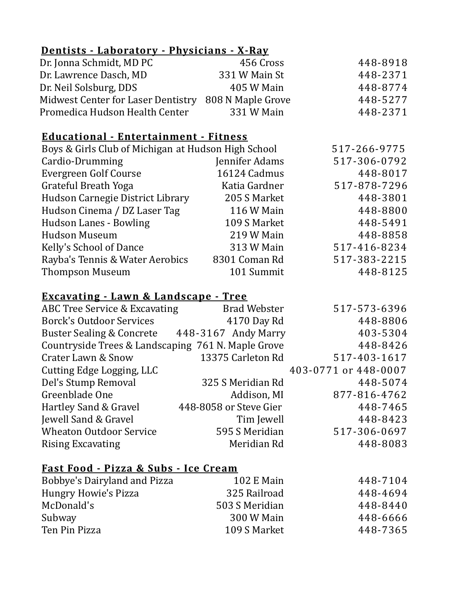#### **Dentists - Laboratory - Physicians - X-Ray**

| Dr. Jonna Schmidt, MD PC                             | 456 Cross     | 448-8918 |
|------------------------------------------------------|---------------|----------|
| Dr. Lawrence Dasch, MD                               | 331 W Main St | 448-2371 |
| Dr. Neil Solsburg, DDS                               | 405 W Main    | 448-8774 |
| Midwest Center for Laser Dentistry 808 N Maple Grove |               | 448-5277 |
| Promedica Hudson Health Center                       | 331 W Main    | 448-2371 |

#### **Educational - Entertainment - Fitness**

| Boys & Girls Club of Michigan at Hudson High School |                | 517-266-9775 |
|-----------------------------------------------------|----------------|--------------|
| Cardio-Drumming                                     | Jennifer Adams | 517-306-0792 |
| Evergreen Golf Course                               | 16124 Cadmus   | 448-8017     |
| Grateful Breath Yoga                                | Katia Gardner  | 517-878-7296 |
| Hudson Carnegie District Library                    | 205 S Market   | 448-3801     |
| Hudson Cinema / DZ Laser Tag                        | 116 W Main     | 448-8800     |
| <b>Hudson Lanes - Bowling</b>                       | 109 S Market   | 448-5491     |
| <b>Hudson Museum</b>                                | 219 W Main     | 448-8858     |
| Kelly's School of Dance                             | 313 W Main     | 517-416-8234 |
| Rayba's Tennis & Water Aerobics                     | 8301 Coman Rd  | 517-383-2215 |
| <b>Thompson Museum</b>                              | 101 Summit     | 448-8125     |

#### **Excavating - Lawn & Landscape - Tree**

| ABC Tree Service & Excavating                      | <b>Brad Webster</b>    | 517-573-6396         |
|----------------------------------------------------|------------------------|----------------------|
| <b>Borck's Outdoor Services</b>                    | 4170 Day Rd            | 448-8806             |
| Buster Sealing & Concrete 448-3167 Andy Marry      |                        | 403-5304             |
| Countryside Trees & Landscaping 761 N. Maple Grove |                        | 448-8426             |
| <b>Crater Lawn &amp; Snow</b>                      | 13375 Carleton Rd      | 517-403-1617         |
| Cutting Edge Logging, LLC                          |                        | 403-0771 or 448-0007 |
| Del's Stump Removal                                | 325 S Meridian Rd      | 448-5074             |
| Greenblade One                                     | Addison, MI            | 877-816-4762         |
| Hartley Sand & Gravel                              | 448-8058 or Steve Gier | 448-7465             |
| Jewell Sand & Gravel                               | Tim Jewell             | 448-8423             |
| <b>Wheaton Outdoor Service</b>                     | 595 S Meridian         | 517-306-0697         |
| <b>Rising Excavating</b>                           | Meridian Rd            | 448-8083             |

#### **Fast Food - Pizza & Subs - Ice Cream**

| Bobbye's Dairyland and Pizza | 102 E Main     | 448-7104 |
|------------------------------|----------------|----------|
| <b>Hungry Howie's Pizza</b>  | 325 Railroad   | 448-4694 |
| McDonald's                   | 503 S Meridian | 448-8440 |
| Subway                       | 300 W Main     | 448-6666 |
| Ten Pin Pizza                | 109 S Market   | 448-7365 |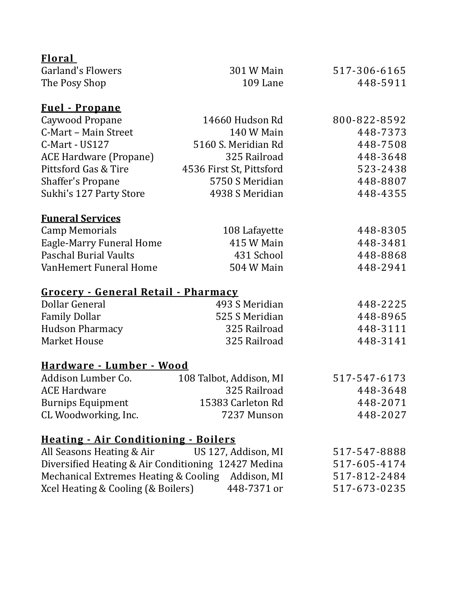| <b>Floral</b>                                       |                          |              |
|-----------------------------------------------------|--------------------------|--------------|
| <b>Garland's Flowers</b>                            | 301 W Main               | 517-306-6165 |
| The Posy Shop                                       | 109 Lane                 | 448-5911     |
| <b>Fuel</b> - Propane                               |                          |              |
| Caywood Propane                                     | 14660 Hudson Rd          | 800-822-8592 |
| C-Mart - Main Street                                | 140 W Main               | 448-7373     |
| C-Mart - US127                                      | 5160 S. Meridian Rd      | 448-7508     |
| <b>ACE Hardware (Propane)</b>                       | 325 Railroad             | 448-3648     |
| Pittsford Gas & Tire                                | 4536 First St, Pittsford | 523-2438     |
| <b>Shaffer's Propane</b>                            | 5750 S Meridian          | 448-8807     |
| Sukhi's 127 Party Store                             | 4938 S Meridian          | 448-4355     |
| <b>Funeral Services</b>                             |                          |              |
| <b>Camp Memorials</b>                               | 108 Lafayette            | 448-8305     |
| <b>Eagle-Marry Funeral Home</b>                     | 415 W Main               | 448-3481     |
| <b>Paschal Burial Vaults</b>                        | 431 School               | 448-8868     |
| VanHemert Funeral Home                              | 504 W Main               | 448-2941     |
| Grocery - General Retail - Pharmacy                 |                          |              |
| Dollar General                                      | 493 S Meridian           | 448-2225     |
| <b>Family Dollar</b>                                | 525 S Meridian           | 448-8965     |
| <b>Hudson Pharmacy</b>                              | 325 Railroad             | 448-3111     |
| <b>Market House</b>                                 | 325 Railroad             | 448-3141     |
| <u> Hardware - Lumber - Wood</u>                    |                          |              |
| Addison Lumber Co.                                  | 108 Talbot, Addison, MI  | 517-547-6173 |
| <b>ACE Hardware</b>                                 | 325 Railroad             | 448-3648     |
| <b>Burnips Equipment</b>                            | 15383 Carleton Rd        | 448-2071     |
| CL Woodworking, Inc.                                | 7237 Munson              | 448-2027     |
| <b>Heating - Air Conditioning - Boilers</b>         |                          |              |
| All Seasons Heating & Air                           | US 127, Addison, MI      | 517-547-8888 |
| Diversified Heating & Air Conditioning 12427 Medina |                          | 517-605-4174 |
| Mechanical Extremes Heating & Cooling Addison, MI   |                          | 517-812-2484 |
| Xcel Heating & Cooling (& Boilers)                  | 448-7371 or              | 517-673-0235 |
|                                                     |                          |              |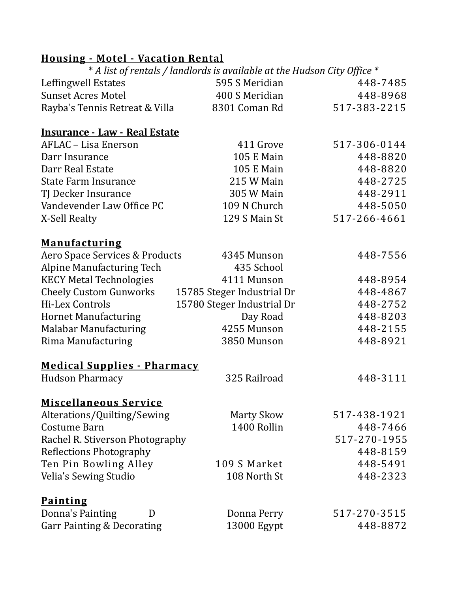## **Housing - Motel - Vacation Rental**

|                                      | * A list of rentals / landlords is available at the Hudson City Office * |              |
|--------------------------------------|--------------------------------------------------------------------------|--------------|
| Leffingwell Estates                  | 595 S Meridian                                                           | 448-7485     |
| <b>Sunset Acres Motel</b>            | 400 S Meridian                                                           | 448-8968     |
| Rayba's Tennis Retreat & Villa       | 8301 Coman Rd                                                            | 517-383-2215 |
| <b>Insurance - Law - Real Estate</b> |                                                                          |              |
| AFLAC - Lisa Enerson                 | 411 Grove                                                                | 517-306-0144 |
| Darr Insurance                       | <b>105 E Main</b>                                                        | 448-8820     |
| Darr Real Estate                     | <b>105 E Main</b>                                                        | 448-8820     |
| <b>State Farm Insurance</b>          | 215 W Main                                                               | 448-2725     |
| TJ Decker Insurance                  | 305 W Main                                                               | 448-2911     |
| Vandevender Law Office PC            | 109 N Church                                                             | 448-5050     |
| X-Sell Realty                        | 129 S Main St                                                            | 517-266-4661 |
| <b>Manufacturing</b>                 |                                                                          |              |
| Aero Space Services & Products       | 4345 Munson                                                              | 448-7556     |
| <b>Alpine Manufacturing Tech</b>     | 435 School                                                               |              |
| <b>KECY Metal Technologies</b>       | 4111 Munson                                                              | 448-8954     |
| <b>Cheely Custom Gunworks</b>        | 15785 Steger Industrial Dr                                               | 448-4867     |
| Hi-Lex Controls                      | 15780 Steger Industrial Dr                                               | 448-2752     |
| <b>Hornet Manufacturing</b>          | Day Road                                                                 | 448-8203     |
| <b>Malabar Manufacturing</b>         | 4255 Munson                                                              | 448-2155     |
| Rima Manufacturing                   | 3850 Munson                                                              | 448-8921     |
| <b>Medical Supplies - Pharmacy</b>   |                                                                          |              |
| <b>Hudson Pharmacy</b>               | 325 Railroad                                                             | 448-3111     |
| <b>Miscellaneous Service</b>         |                                                                          |              |
| Alterations/Quilting/Sewing          | <b>Marty Skow</b>                                                        | 517-438-1921 |
| Costume Barn                         | 1400 Rollin                                                              | 448-7466     |
| Rachel R. Stiverson Photography      |                                                                          | 517-270-1955 |
| <b>Reflections Photography</b>       |                                                                          | 448-8159     |
| Ten Pin Bowling Alley                | 109 S Market                                                             | 448-5491     |
| Velia's Sewing Studio                | 108 North St                                                             | 448-2323     |
| <b>Painting</b>                      |                                                                          |              |
| Donna's Painting<br>D                | Donna Perry                                                              | 517-270-3515 |
| Garr Painting & Decorating           | 13000 Egypt                                                              | 448-8872     |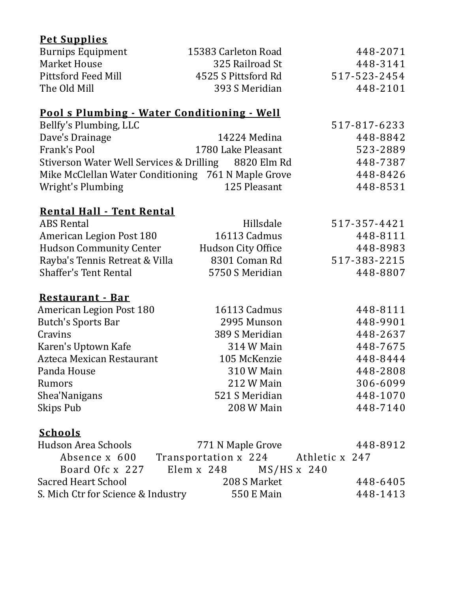## **Pet Supplies**

| <b>Burnips Equipment</b>                              | 15383 Carleton Road                 | 448-2071     |
|-------------------------------------------------------|-------------------------------------|--------------|
| <b>Market House</b>                                   | 325 Railroad St                     | 448-3141     |
| <b>Pittsford Feed Mill</b>                            | 4525 S Pittsford Rd                 | 517-523-2454 |
| The Old Mill                                          | 393 S Meridian                      | 448-2101     |
| <u> Pool s Plumbing - Water Conditioning - Well</u>   |                                     |              |
| Bellfy's Plumbing, LLC                                |                                     | 517-817-6233 |
| Dave's Drainage                                       | 14224 Medina                        | 448-8842     |
| Frank's Pool                                          | 1780 Lake Pleasant                  | 523-2889     |
| Stiverson Water Well Services & Drilling              | 8820 Elm Rd                         | 448-7387     |
| Mike McClellan Water Conditioning 761 N Maple Grove   |                                     | 448-8426     |
| Wright's Plumbing                                     | 125 Pleasant                        | 448-8531     |
|                                                       |                                     |              |
| <b>Rental Hall - Tent Rental</b><br><b>ABS Rental</b> | Hillsdale                           | 517-357-4421 |
| American Legion Post 180                              | 16113 Cadmus                        | 448-8111     |
| <b>Hudson Community Center</b>                        | Hudson City Office                  | 448-8983     |
| Rayba's Tennis Retreat & Villa                        | 8301 Coman Rd                       | 517-383-2215 |
| <b>Shaffer's Tent Rental</b>                          | 5750 S Meridian                     | 448-8807     |
|                                                       |                                     |              |
| Restaurant - Bar<br><b>American Legion Post 180</b>   | 16113 Cadmus                        | 448-8111     |
| <b>Butch's Sports Bar</b>                             | 2995 Munson                         | 448-9901     |
| Cravins                                               | 389 S Meridian                      | 448-2637     |
| Karen's Uptown Kafe                                   | 314 W Main                          | 448-7675     |
| Azteca Mexican Restaurant                             | 105 McKenzie                        | 448-8444     |
| Panda House                                           | 310 W Main                          | 448-2808     |
| Rumors                                                | 212 W Main                          | 306-6099     |
| Shea'Nanigans                                         | 521 S Meridian                      | 448-1070     |
| Skips Pub                                             | 208 W Main                          | 448-7140     |
|                                                       |                                     |              |
| <b>Schools</b>                                        |                                     |              |
| <b>Hudson Area Schools</b>                            | 771 N Maple Grove                   | 448-8912     |
| Absence x 600                                         | Transportation x 224 Athletic x 247 |              |
| Board Ofc x 227                                       | $MS/HS \times 240$<br>Elem x 248    |              |
| <b>Sacred Heart School</b>                            | 208 S Market                        | 448-6405     |
| S. Mich Ctr for Science & Industry                    | <b>550 E Main</b>                   | 448-1413     |